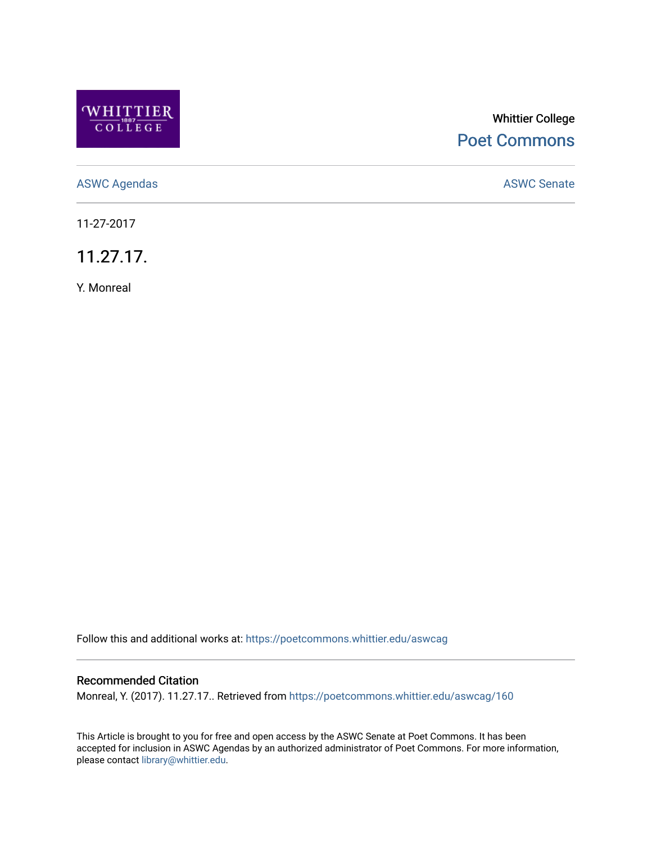

# Whittier College [Poet Commons](https://poetcommons.whittier.edu/)

[ASWC Agendas](https://poetcommons.whittier.edu/aswcag) **ASWC Senate** 

11-27-2017

11.27.17.

Y. Monreal

Follow this and additional works at: [https://poetcommons.whittier.edu/aswcag](https://poetcommons.whittier.edu/aswcag?utm_source=poetcommons.whittier.edu%2Faswcag%2F160&utm_medium=PDF&utm_campaign=PDFCoverPages) 

## Recommended Citation

Monreal, Y. (2017). 11.27.17.. Retrieved from [https://poetcommons.whittier.edu/aswcag/160](https://poetcommons.whittier.edu/aswcag/160?utm_source=poetcommons.whittier.edu%2Faswcag%2F160&utm_medium=PDF&utm_campaign=PDFCoverPages) 

This Article is brought to you for free and open access by the ASWC Senate at Poet Commons. It has been accepted for inclusion in ASWC Agendas by an authorized administrator of Poet Commons. For more information, please contact [library@whittier.edu](mailto:library@whittier.edu).